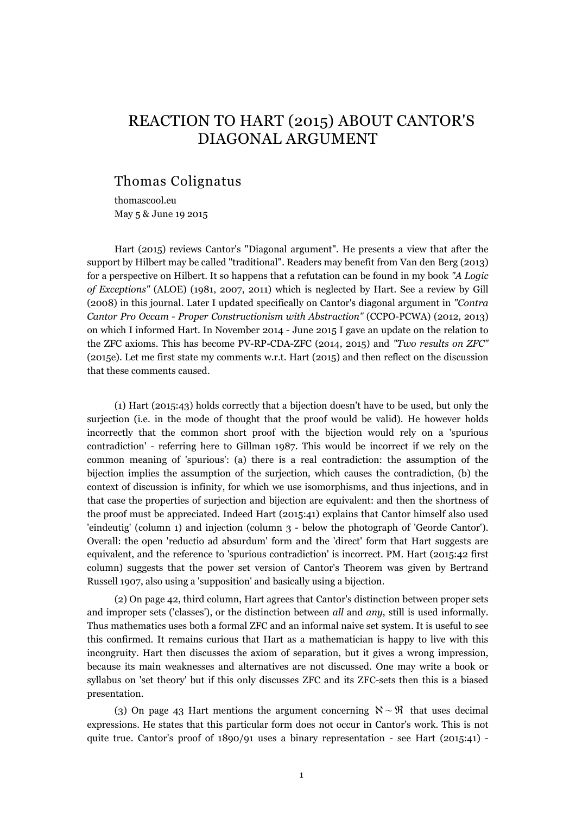# REACTION TO HART (2015) ABOUT CANTOR'S DIAGONAL ARGUMENT

## Thomas Colignatus

thomascool.eu May 5 & June 19 2015

Hart (2015) reviews Cantor's "Diagonal argument". He presents a view that after the support by Hilbert may be called "traditional". Readers may benefit from Van den Berg (2013) for a perspective on Hilbert. It so happens that a refutation can be found in my book *"A Logic of Exceptions"* (ALOE) (1981, 2007, 2011) which is neglected by Hart. See a review by Gill (2008) in this journal. Later I updated specifically on Cantor's diagonal argument in *"Contra Cantor Pro Occam - Proper Constructionism with Abstraction"* (CCPO-PCWA) (2012, 2013) on which I informed Hart. In November 2014 - June 2015 I gave an update on the relation to the ZFC axioms. This has become PV-RP-CDA-ZFC (2014, 2015) and *"Two results on ZFC"* (2015e). Let me first state my comments w.r.t. Hart (2015) and then reflect on the discussion that these comments caused.

(1) Hart (2015:43) holds correctly that a bijection doesn't have to be used, but only the surjection (i.e. in the mode of thought that the proof would be valid). He however holds incorrectly that the common short proof with the bijection would rely on a 'spurious contradiction' - referring here to Gillman 1987. This would be incorrect if we rely on the common meaning of 'spurious': (a) there is a real contradiction: the assumption of the bijection implies the assumption of the surjection, which causes the contradiction, (b) the context of discussion is infinity, for which we use isomorphisms, and thus injections, and in that case the properties of surjection and bijection are equivalent: and then the shortness of the proof must be appreciated. Indeed Hart (2015:41) explains that Cantor himself also used 'eindeutig' (column 1) and injection (column 3 - below the photograph of 'Georde Cantor'). Overall: the open 'reductio ad absurdum' form and the 'direct' form that Hart suggests are equivalent, and the reference to 'spurious contradiction' is incorrect. PM. Hart (2015:42 first column) suggests that the power set version of Cantor's Theorem was given by Bertrand Russell 1907, also using a 'supposition' and basically using a bijection.

(2) On page 42, third column, Hart agrees that Cantor's distinction between proper sets and improper sets ('classes'), or the distinction between *all* and *any*, still is used informally. Thus mathematics uses both a formal ZFC and an informal naive set system. It is useful to see this confirmed. It remains curious that Hart as a mathematician is happy to live with this incongruity. Hart then discusses the axiom of separation, but it gives a wrong impression, because its main weaknesses and alternatives are not discussed. One may write a book or syllabus on 'set theory' but if this only discusses ZFC and its ZFC-sets then this is a biased presentation.

(3) On page 43 Hart mentions the argument concerning  $\aleph \sim \mathfrak{R}$  that uses decimal expressions. He states that this particular form does not occur in Cantor's work. This is not quite true. Cantor's proof of  $1890/91$  uses a binary representation - see Hart (2015:41) -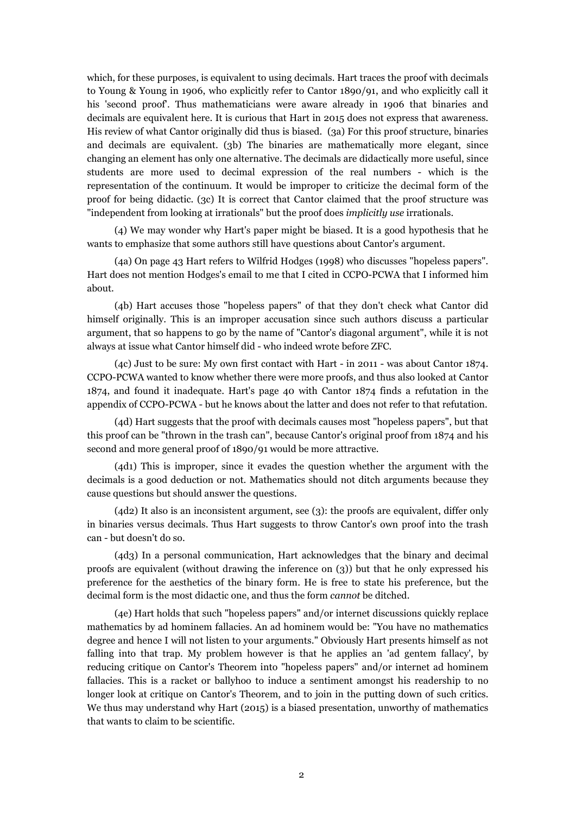which, for these purposes, is equivalent to using decimals. Hart traces the proof with decimals to Young & Young in 1906, who explicitly refer to Cantor 1890/91, and who explicitly call it his 'second proof'. Thus mathematicians were aware already in 1906 that binaries and decimals are equivalent here. It is curious that Hart in 2015 does not express that awareness. His review of what Cantor originally did thus is biased. (3a) For this proof structure, binaries and decimals are equivalent. (3b) The binaries are mathematically more elegant, since changing an element has only one alternative. The decimals are didactically more useful, since students are more used to decimal expression of the real numbers - which is the representation of the continuum. It would be improper to criticize the decimal form of the proof for being didactic. (3c) It is correct that Cantor claimed that the proof structure was "independent from looking at irrationals" but the proof does *implicitly use* irrationals.

(4) We may wonder why Hart's paper might be biased. It is a good hypothesis that he wants to emphasize that some authors still have questions about Cantor's argument.

(4a) On page 43 Hart refers to Wilfrid Hodges (1998) who discusses "hopeless papers". Hart does not mention Hodges's email to me that I cited in CCPO-PCWA that I informed him about.

(4b) Hart accuses those "hopeless papers" of that they don't check what Cantor did himself originally. This is an improper accusation since such authors discuss a particular argument, that so happens to go by the name of "Cantor's diagonal argument", while it is not always at issue what Cantor himself did - who indeed wrote before ZFC.

(4c) Just to be sure: My own first contact with Hart - in 2011 - was about Cantor 1874. CCPO-PCWA wanted to know whether there were more proofs, and thus also looked at Cantor 1874, and found it inadequate. Hart's page 40 with Cantor 1874 finds a refutation in the appendix of CCPO-PCWA - but he knows about the latter and does not refer to that refutation.

(4d) Hart suggests that the proof with decimals causes most "hopeless papers", but that this proof can be "thrown in the trash can", because Cantor's original proof from 1874 and his second and more general proof of 1890/91 would be more attractive.

(4d1) This is improper, since it evades the question whether the argument with the decimals is a good deduction or not. Mathematics should not ditch arguments because they cause questions but should answer the questions.

(4d2) It also is an inconsistent argument, see (3): the proofs are equivalent, differ only in binaries versus decimals. Thus Hart suggests to throw Cantor's own proof into the trash can - but doesn't do so.

(4d3) In a personal communication, Hart acknowledges that the binary and decimal proofs are equivalent (without drawing the inference on (3)) but that he only expressed his preference for the aesthetics of the binary form. He is free to state his preference, but the decimal form is the most didactic one, and thus the form *cannot* be ditched.

(4e) Hart holds that such "hopeless papers" and/or internet discussions quickly replace mathematics by ad hominem fallacies. An ad hominem would be: "You have no mathematics degree and hence I will not listen to your arguments." Obviously Hart presents himself as not falling into that trap. My problem however is that he applies an 'ad gentem fallacy', by reducing critique on Cantor's Theorem into "hopeless papers" and/or internet ad hominem fallacies. This is a racket or ballyhoo to induce a sentiment amongst his readership to no longer look at critique on Cantor's Theorem, and to join in the putting down of such critics. We thus may understand why Hart (2015) is a biased presentation, unworthy of mathematics that wants to claim to be scientific.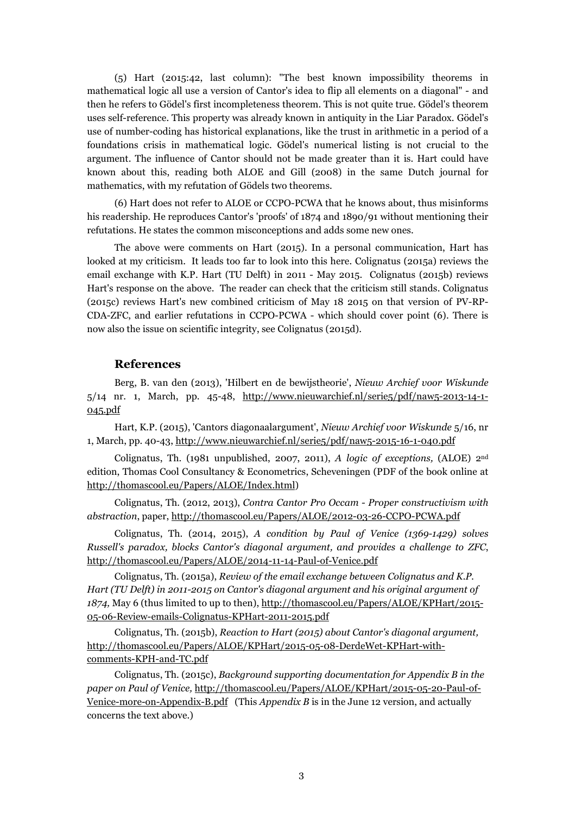(5) Hart (2015:42, last column): "The best known impossibility theorems in mathematical logic all use a version of Cantor's idea to flip all elements on a diagonal" - and then he refers to Gödel's first incompleteness theorem. This is not quite true. Gödel's theorem uses self-reference. This property was already known in antiquity in the Liar Paradox. Gödel's use of number-coding has historical explanations, like the trust in arithmetic in a period of a foundations crisis in mathematical logic. Gödel's numerical listing is not crucial to the argument. The influence of Cantor should not be made greater than it is. Hart could have known about this, reading both ALOE and Gill (2008) in the same Dutch journal for mathematics, with my refutation of Gödels two theorems.

(6) Hart does not refer to ALOE or CCPO-PCWA that he knows about, thus misinforms his readership. He reproduces Cantor's 'proofs' of 1874 and 1890/91 without mentioning their refutations. He states the common misconceptions and adds some new ones.

The above were comments on Hart (2015). In a personal communication, Hart has looked at my criticism. It leads too far to look into this here. Colignatus (2015a) reviews the email exchange with K.P. Hart (TU Delft) in 2011 - May 2015. Colignatus (2015b) reviews Hart's response on the above. The reader can check that the criticism still stands. Colignatus (2015c) reviews Hart's new combined criticism of May 18 2015 on that version of PV-RP-CDA-ZFC, and earlier refutations in CCPO-PCWA - which should cover point (6). There is now also the issue on scientific integrity, see Colignatus (2015d).

### **References**

Berg, B. van den (2013), 'Hilbert en de bewijstheorie', *Nieuw Archief voor Wiskunde* 5/14 nr. 1, March, pp. 45-48, http://www.nieuwarchief.nl/serie5/pdf/naw5-2013-14-1- 045.pdf

Hart, K.P. (2015), 'Cantors diagonaalargument', *Nieuw Archief voor Wiskunde* 5/16, nr 1, March, pp. 40-43, http://www.nieuwarchief.nl/serie5/pdf/naw5-2015-16-1-040.pdf

Colignatus, Th. (1981 unpublished, 2007, 2011), *A logic of exceptions,* (ALOE) 2nd edition, Thomas Cool Consultancy & Econometrics, Scheveningen (PDF of the book online at http://thomascool.eu/Papers/ALOE/Index.html)

Colignatus, Th. (2012, 2013), *Contra Cantor Pro Occam - Proper constructivism with abstraction*, paper, http://thomascool.eu/Papers/ALOE/2012-03-26-CCPO-PCWA.pdf

Colignatus, Th. (2014, 2015), *A condition by Paul of Venice (1369-1429) solves Russell's paradox, blocks Cantor's diagonal argument, and provides a challenge to ZFC*, http://thomascool.eu/Papers/ALOE/2014-11-14-Paul-of-Venice.pdf

Colignatus, Th. (2015a), *Review of the email exchange between Colignatus and K.P. Hart (TU Delft) in 2011-2015 on Cantor's diagonal argument and his original argument of 1874,* May 6 (thus limited to up to then), http://thomascool.eu/Papers/ALOE/KPHart/2015- 05-06-Review-emails-Colignatus-KPHart-2011-2015.pdf

Colignatus, Th. (2015b), *Reaction to Hart (2015) about Cantor's diagonal argument,* http://thomascool.eu/Papers/ALOE/KPHart/2015-05-08-DerdeWet-KPHart-withcomments-KPH-and-TC.pdf

Colignatus, Th. (2015c), *Background supporting documentation for Appendix B in the paper on Paul of Venice,* http://thomascool.eu/Papers/ALOE/KPHart/2015-05-20-Paul-of-Venice-more-on-Appendix-B.pdf (This *Appendix B* is in the June 12 version, and actually concerns the text above.)